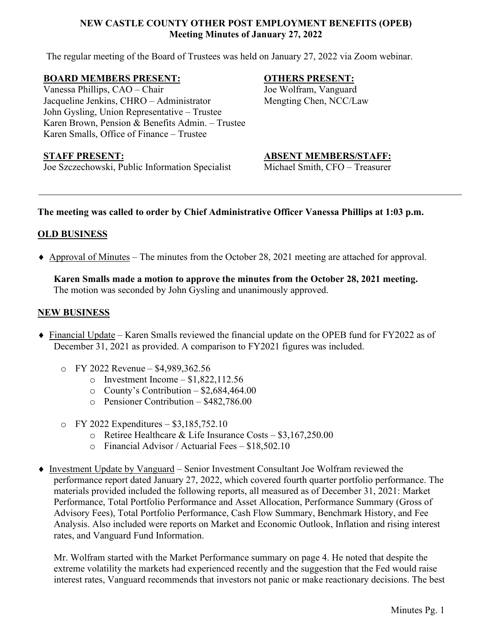## **NEW CASTLE COUNTY OTHER POST EMPLOYMENT BENEFITS (OPEB) Meeting Minutes of January 27, 2022**

The regular meeting of the Board of Trustees was held on January 27, 2022 via Zoom webinar.

#### **BOARD MEMBERS PRESENT:**

Vanessa Phillips, CAO – Chair Jacqueline Jenkins, CHRO – Administrator John Gysling, Union Representative – Trustee Karen Brown, Pension & Benefits Admin. – Trustee Karen Smalls, Office of Finance – Trustee

#### **OTHERS PRESENT:**

Joe Wolfram, Vanguard Mengting Chen, NCC/Law

Joe Szczechowski, Public Information Specialist Michael Smith, CFO – Treasurer

## **STAFF PRESENT: ABSENT MEMBERS/STAFF:**

# **The meeting was called to order by Chief Administrative Officer Vanessa Phillips at 1:03 p.m.**

# **OLD BUSINESS**

♦ Approval of Minutes – The minutes from the October 28, 2021 meeting are attached for approval.

**Karen Smalls made a motion to approve the minutes from the October 28, 2021 meeting.** The motion was seconded by John Gysling and unanimously approved.

## **NEW BUSINESS**

- ♦ Financial Update Karen Smalls reviewed the financial update on the OPEB fund for FY2022 as of December 31, 2021 as provided. A comparison to FY2021 figures was included.
	- o FY 2022 Revenue \$4,989,362.56
		- $\circ$  Investment Income \$1,822,112.56
		- $\circ$  County's Contribution \$2,684,464.00
		- o Pensioner Contribution \$482,786.00
	- o FY 2022 Expenditures \$3,185,752.10
		- o Retiree Healthcare & Life Insurance Costs \$3,167,250.00
		- o Financial Advisor / Actuarial Fees \$18,502.10
- ♦ Investment Update by Vanguard Senior Investment Consultant Joe Wolfram reviewed the performance report dated January 27, 2022, which covered fourth quarter portfolio performance. The materials provided included the following reports, all measured as of December 31, 2021: Market Performance, Total Portfolio Performance and Asset Allocation, Performance Summary (Gross of Advisory Fees), Total Portfolio Performance, Cash Flow Summary, Benchmark History, and Fee Analysis. Also included were reports on Market and Economic Outlook, Inflation and rising interest rates, and Vanguard Fund Information.

Mr. Wolfram started with the Market Performance summary on page 4. He noted that despite the extreme volatility the markets had experienced recently and the suggestion that the Fed would raise interest rates, Vanguard recommends that investors not panic or make reactionary decisions. The best